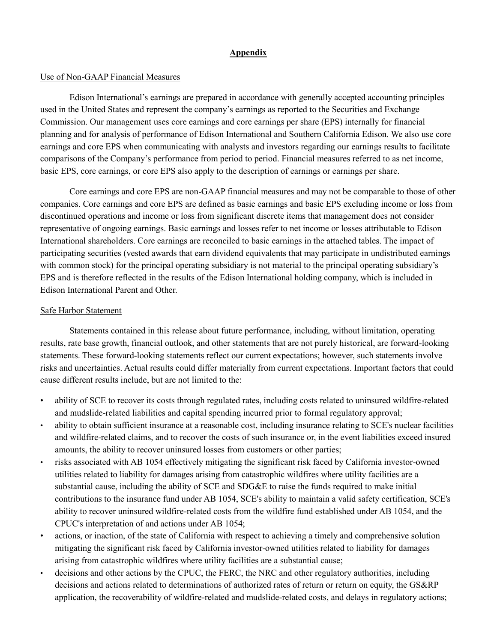## **Appendix**

#### Use of Non-GAAP Financial Measures

Edison International's earnings are prepared in accordance with generally accepted accounting principles used in the United States and represent the company's earnings as reported to the Securities and Exchange Commission. Our management uses core earnings and core earnings per share (EPS) internally for financial planning and for analysis of performance of Edison International and Southern California Edison. We also use core earnings and core EPS when communicating with analysts and investors regarding our earnings results to facilitate comparisons of the Company's performance from period to period. Financial measures referred to as net income, basic EPS, core earnings, or core EPS also apply to the description of earnings or earnings per share.

Core earnings and core EPS are non-GAAP financial measures and may not be comparable to those of other companies. Core earnings and core EPS are defined as basic earnings and basic EPS excluding income or loss from discontinued operations and income or loss from significant discrete items that management does not consider representative of ongoing earnings. Basic earnings and losses refer to net income or losses attributable to Edison International shareholders. Core earnings are reconciled to basic earnings in the attached tables. The impact of participating securities (vested awards that earn dividend equivalents that may participate in undistributed earnings with common stock) for the principal operating subsidiary is not material to the principal operating subsidiary's EPS and is therefore reflected in the results of the Edison International holding company, which is included in Edison International Parent and Other.

## Safe Harbor Statement

Statements contained in this release about future performance, including, without limitation, operating results, rate base growth, financial outlook, and other statements that are not purely historical, are forward-looking statements. These forward-looking statements reflect our current expectations; however, such statements involve risks and uncertainties. Actual results could differ materially from current expectations. Important factors that could cause different results include, but are not limited to the:

- ability of SCE to recover its costs through regulated rates, including costs related to uninsured wildfire-related and mudslide-related liabilities and capital spending incurred prior to formal regulatory approval;
- ability to obtain sufficient insurance at a reasonable cost, including insurance relating to SCE's nuclear facilities and wildfire-related claims, and to recover the costs of such insurance or, in the event liabilities exceed insured amounts, the ability to recover uninsured losses from customers or other parties;
- risks associated with AB 1054 effectively mitigating the significant risk faced by California investor-owned utilities related to liability for damages arising from catastrophic wildfires where utility facilities are a substantial cause, including the ability of  $SCE$  and  $SDG&E$  to raise the funds required to make initial contributions to the insurance fund under AB 1054, SCE's ability to maintain a valid safety certification, SCE's ability to recover uninsured wildfire-related costs from the wildfire fund established under AB 1054, and the CPUC's interpretation of and actions under AB 1054;
- actions, or inaction, of the state of California with respect to achieving a timely and comprehensive solution mitigating the significant risk faced by California investor-owned utilities related to liability for damages arising from catastrophic wildfires where utility facilities are a substantial cause;
- decisions and other actions by the CPUC, the FERC, the NRC and other regulatory authorities, including decisions and actions related to determinations of authorized rates of return or return on equity, the GS&RP application, the recoverability of wildfire-related and mudslide-related costs, and delays in regulatory actions;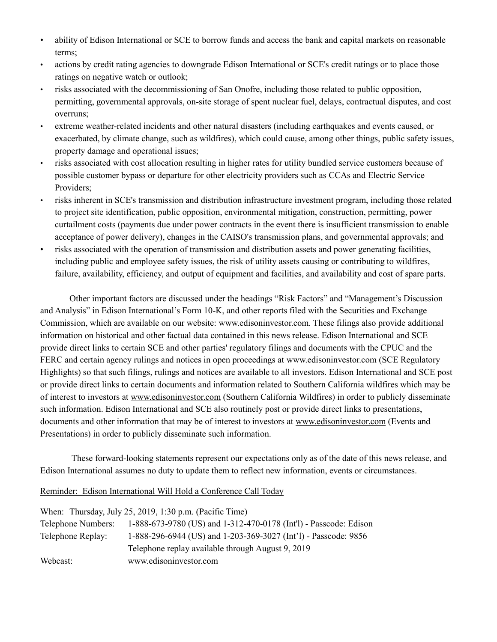- ability of Edison International or SCE to borrow funds and access the bank and capital markets on reasonable terms;
- actions by credit rating agencies to downgrade Edison International or SCE's credit ratings or to place those ratings on negative watch or outlook;
- risks associated with the decommissioning of San Onofre, including those related to public opposition, permitting, governmental approvals, on-site storage of spent nuclear fuel, delays, contractual disputes, and cost overruns;
- extreme weather-related incidents and other natural disasters (including earthquakes and events caused, or exacerbated, by climate change, such as wildfires), which could cause, among other things, public safety issues, property damage and operational issues;
- risks associated with cost allocation resulting in higher rates for utility bundled service customers because of possible customer bypass or departure for other electricity providers such as CCAs and Electric Service Providers;
- risks inherent in SCE's transmission and distribution infrastructure investment program, including those related to project site identification, public opposition, environmental mitigation, construction, permitting, power curtailment costs (payments due under power contracts in the event there is insufficient transmission to enable acceptance of power delivery), changes in the CAISO's transmission plans, and governmental approvals; and
- risks associated with the operation of transmission and distribution assets and power generating facilities, including public and employee safety issues, the risk of utility assets causing or contributing to wildfires, failure, availability, efficiency, and output of equipment and facilities, and availability and cost of spare parts.

Other important factors are discussed under the headings "Risk Factors" and "Management's Discussion and Analysis" in Edison International's Form 10-K, and other reports filed with the Securities and Exchange Commission, which are available on our website: www.edisoninvestor.com. These filings also provide additional information on historical and other factual data contained in this news release. Edison International and SCE provide direct links to certain SCE and other parties' regulatory filings and documents with the CPUC and the FERC and certain agency rulings and notices in open proceedings at www.edisoninvestor.com (SCE Regulatory Highlights) so that such filings, rulings and notices are available to all investors. Edison International and SCE post or provide direct links to certain documents and information related to Southern California wildfires which may be of interest to investors at www.edisoninvestor.com (Southern California Wildfires) in order to publicly disseminate such information. Edison International and SCE also routinely post or provide direct links to presentations, documents and other information that may be of interest to investors at www.edisoninvestor.com (Events and Presentations) in order to publicly disseminate such information.

These forward-looking statements represent our expectations only as of the date of this news release, and Edison International assumes no duty to update them to reflect new information, events or circumstances.

Reminder: Edison International Will Hold a Conference Call Today

|                    | When: Thursday, July 25, 2019, 1:30 p.m. (Pacific Time)           |
|--------------------|-------------------------------------------------------------------|
| Telephone Numbers: | 1-888-673-9780 (US) and 1-312-470-0178 (Int'l) - Passcode: Edison |
| Telephone Replay:  | 1-888-296-6944 (US) and 1-203-369-3027 (Int'l) - Passcode: 9856   |
|                    | Telephone replay available through August 9, 2019                 |
| Webcast:           | www.edisoninvestor.com                                            |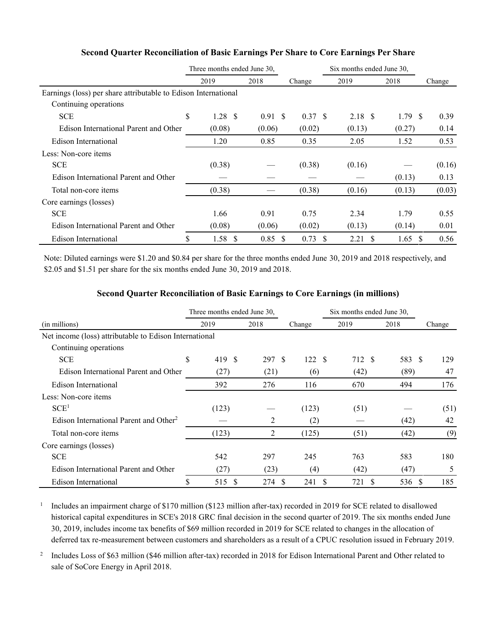|                                                                | Three months ended June 30, |                       |                       |                  | Six months ended June 30, |                  |        |
|----------------------------------------------------------------|-----------------------------|-----------------------|-----------------------|------------------|---------------------------|------------------|--------|
|                                                                |                             | 2019                  | 2018                  | Change           | 2019<br>2018              |                  | Change |
| Earnings (loss) per share attributable to Edison International |                             |                       |                       |                  |                           |                  |        |
| Continuing operations                                          |                             |                       |                       |                  |                           |                  |        |
| <b>SCE</b>                                                     | \$                          | $1.28$ \$             | 0.91<br>-S            | 0.37 S           | $2.18$ \$                 | 1.79S            | 0.39   |
| Edison International Parent and Other                          |                             | (0.08)                | (0.06)                | (0.02)           | (0.13)                    | (0.27)           | 0.14   |
| Edison International                                           |                             | 1.20                  | 0.85                  | 0.35             | 2.05                      | 1.52             | 0.53   |
| Less: Non-core items                                           |                             |                       |                       |                  |                           |                  |        |
| <b>SCE</b>                                                     |                             | (0.38)                |                       | (0.38)           | (0.16)                    |                  | (0.16) |
| Edison International Parent and Other                          |                             |                       |                       |                  |                           | (0.13)           | 0.13   |
| Total non-core items                                           |                             | (0.38)                |                       | (0.38)           | (0.16)                    | (0.13)           | (0.03) |
| Core earnings (losses)                                         |                             |                       |                       |                  |                           |                  |        |
| <b>SCE</b>                                                     |                             | 1.66                  | 0.91                  | 0.75             | 2.34                      | 1.79             | 0.55   |
| Edison International Parent and Other                          |                             | (0.08)                | (0.06)                | (0.02)           | (0.13)                    | (0.14)           | 0.01   |
| Edison International                                           | \$                          | 1.58<br><sup>\$</sup> | 0.85<br><sup>\$</sup> | 0.73<br><b>S</b> | 2.21<br>-S                | 1.65<br><b>S</b> | 0.56   |

# **Second Quarter Reconciliation of Basic Earnings Per Share to Core Earnings Per Share**

Note: Diluted earnings were \$1.20 and \$0.84 per share for the three months ended June 30, 2019 and 2018 respectively, and \$2.05 and \$1.51 per share for the six months ended June 30, 2019 and 2018.

## **Second Quarter Reconciliation of Basic Earnings to Core Earnings (in millions)**

|                                                        | Three months ended June 30, |                      |          |          | Six months ended June 30, |        |        |
|--------------------------------------------------------|-----------------------------|----------------------|----------|----------|---------------------------|--------|--------|
| (in millions)                                          |                             | 2019                 | 2018     | Change   | 2019                      | 2018   | Change |
| Net income (loss) attributable to Edison International |                             |                      |          |          |                           |        |        |
| Continuing operations                                  |                             |                      |          |          |                           |        |        |
| <b>SCE</b>                                             | \$                          | 419 \$               | 297 \$   | 122S     | 712 \$                    | 583 \$ | 129    |
| Edison International Parent and Other                  |                             | (27)                 | (21)     | (6)      | (42)                      | (89)   | 47     |
| Edison International                                   |                             | 392                  | 276      | 116      | 670                       | 494    | 176    |
| Less: Non-core items                                   |                             |                      |          |          |                           |        |        |
| SCE <sup>1</sup>                                       |                             | (123)                |          | (123)    | (51)                      |        | (51)   |
| Edison International Parent and Other <sup>2</sup>     |                             |                      | 2        | (2)      |                           | (42)   | 42     |
| Total non-core items                                   |                             | (123)                | 2        | (125)    | (51)                      | (42)   | (9)    |
| Core earnings (losses)                                 |                             |                      |          |          |                           |        |        |
| <b>SCE</b>                                             |                             | 542                  | 297      | 245      | 763                       | 583    | 180    |
| Edison International Parent and Other                  |                             | (27)                 | (23)     | (4)      | (42)                      | (47)   | 5      |
| Edison International                                   | \$                          | 515<br><sup>\$</sup> | S<br>274 | 241<br>S | 721<br>S                  | 536 \$ | 185    |

1 Includes an impairment charge of \$170 million (\$123 million after-tax) recorded in 2019 for SCE related to disallowed historical capital expenditures in SCE's 2018 GRC final decision in the second quarter of 2019. The six months ended June 30, 2019, includes income tax benefits of \$69 million recorded in 2019 for SCE related to changes in the allocation of deferred tax re-measurement between customers and shareholders as a result of a CPUC resolution issued in February 2019.

2 Includes Loss of \$63 million (\$46 million after-tax) recorded in 2018 for Edison International Parent and Other related to sale of SoCore Energy in April 2018.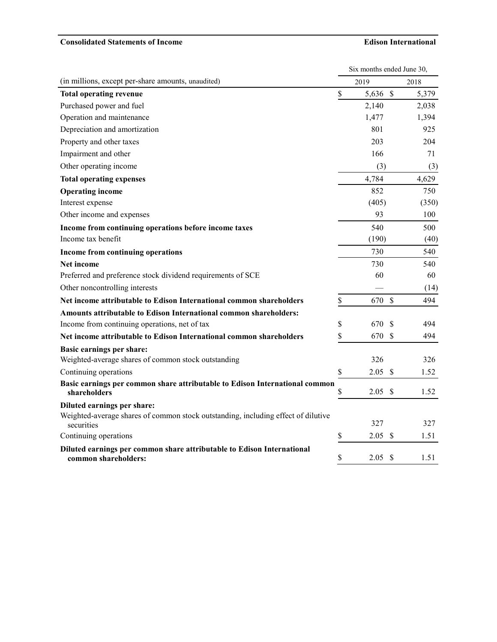## **Consolidated Statements of Income Edison International**

|                                                                                                 |    | Six months ended June 30, |       |
|-------------------------------------------------------------------------------------------------|----|---------------------------|-------|
| (in millions, except per-share amounts, unaudited)                                              |    | 2019                      | 2018  |
| <b>Total operating revenue</b>                                                                  | \$ | $\mathbf S$<br>5,636      | 5,379 |
| Purchased power and fuel                                                                        |    | 2,140                     | 2,038 |
| Operation and maintenance                                                                       |    | 1,477                     | 1,394 |
| Depreciation and amortization                                                                   |    | 801                       | 925   |
| Property and other taxes                                                                        |    | 203                       | 204   |
| Impairment and other                                                                            |    | 166                       | 71    |
| Other operating income                                                                          |    | (3)                       | (3)   |
| <b>Total operating expenses</b>                                                                 |    | 4,784                     | 4,629 |
| <b>Operating income</b>                                                                         |    | 852                       | 750   |
| Interest expense                                                                                |    | (405)                     | (350) |
| Other income and expenses                                                                       |    | 93                        | 100   |
| Income from continuing operations before income taxes                                           |    | 540                       | 500   |
| Income tax benefit                                                                              |    | (190)                     | (40)  |
| Income from continuing operations                                                               |    | 730                       | 540   |
| <b>Net income</b>                                                                               |    | 730                       | 540.  |
| Preferred and preference stock dividend requirements of SCE                                     |    | 60                        | 60    |
| Other noncontrolling interests                                                                  |    |                           | (14)  |
| Net income attributable to Edison International common shareholders                             | \$ | $\mathbf S$<br>670        | 494   |
| Amounts attributable to Edison International common shareholders:                               |    |                           |       |
| Income from continuing operations, net of tax                                                   | \$ | 670<br>$\mathbf S$        | 494   |
| Net income attributable to Edison International common shareholders                             | \$ | 670<br>$\mathbf S$        | 494   |
| <b>Basic earnings per share:</b>                                                                |    |                           |       |
| Weighted-average shares of common stock outstanding                                             |    | 326                       | 326   |
| Continuing operations                                                                           | \$ | 2.05<br>\$                | 1.52  |
| Basic earnings per common share attributable to Edison International common<br>shareholders     | \$ | $2.05$ \$                 | 1.52  |
| Diluted earnings per share:                                                                     |    |                           |       |
| Weighted-average shares of common stock outstanding, including effect of dilutive<br>securities |    | 327                       | 327   |
| Continuing operations                                                                           | \$ | 2.05<br>- \$              | 1.51  |
| Diluted earnings per common share attributable to Edison International<br>common shareholders:  | \$ | $2.05$ \$                 | 1.51  |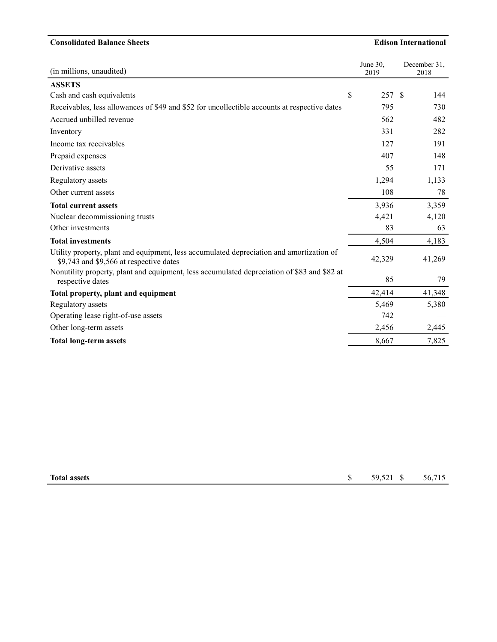| <b>Consolidated Balance Sheets</b>                                                                                                  |    |                  | <b>Edison International</b> |                      |  |
|-------------------------------------------------------------------------------------------------------------------------------------|----|------------------|-----------------------------|----------------------|--|
| (in millions, unaudited)                                                                                                            |    | June 30,<br>2019 |                             | December 31,<br>2018 |  |
| <b>ASSETS</b>                                                                                                                       |    |                  |                             |                      |  |
| Cash and cash equivalents                                                                                                           | \$ | 257S             |                             | 144                  |  |
| Receivables, less allowances of \$49 and \$52 for uncollectible accounts at respective dates                                        |    | 795              |                             | 730                  |  |
| Accrued unbilled revenue                                                                                                            |    | 562              |                             | 482                  |  |
| Inventory                                                                                                                           |    | 331              |                             | 282                  |  |
| Income tax receivables                                                                                                              |    | 127              |                             | 191                  |  |
| Prepaid expenses                                                                                                                    |    | 407              |                             | 148                  |  |
| Derivative assets                                                                                                                   |    | 55               |                             | 171                  |  |
| Regulatory assets                                                                                                                   |    | 1,294            |                             | 1,133                |  |
| Other current assets                                                                                                                |    | 108              |                             | 78                   |  |
| <b>Total current assets</b>                                                                                                         |    | 3,936            |                             | 3,359                |  |
| Nuclear decommissioning trusts                                                                                                      |    | 4,421            |                             | 4,120                |  |
| Other investments                                                                                                                   |    | 83               |                             | 63                   |  |
| <b>Total investments</b>                                                                                                            |    | 4,504            |                             | 4,183                |  |
| Utility property, plant and equipment, less accumulated depreciation and amortization of<br>\$9,743 and \$9,566 at respective dates |    | 42,329           |                             | 41,269               |  |
| Nonutility property, plant and equipment, less accumulated depreciation of \$83 and \$82 at<br>respective dates                     |    | 85               |                             | 79                   |  |
| Total property, plant and equipment                                                                                                 |    | 42,414           |                             | 41,348               |  |
| Regulatory assets                                                                                                                   |    | 5,469            |                             | 5,380                |  |
| Operating lease right-of-use assets                                                                                                 |    | 742              |                             |                      |  |
| Other long-term assets                                                                                                              |    | 2,456            |                             | 2,445                |  |
| <b>Total long-term assets</b>                                                                                                       |    | 8,667            |                             | 7,825                |  |
|                                                                                                                                     |    |                  |                             |                      |  |

| Total.<br>assets<br>. | 50.52° | ---<br>56.1<br>. .<br>$\sim$<br>$\sim$ |
|-----------------------|--------|----------------------------------------|
|                       |        |                                        |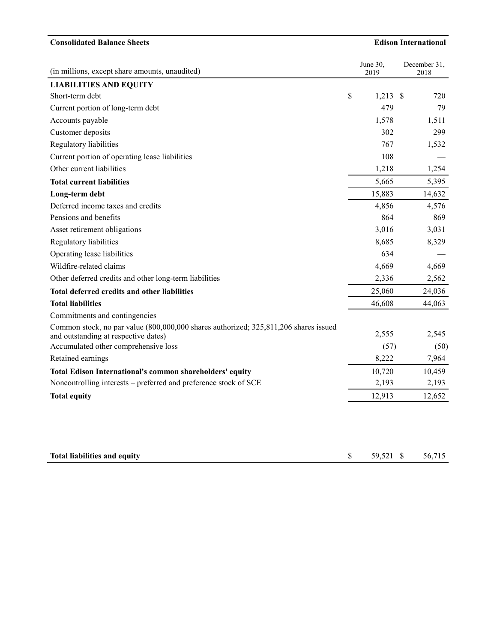| <b>Consolidated Balance Sheets</b>                                                                                           | <b>Edison International</b> |                     |  |                      |
|------------------------------------------------------------------------------------------------------------------------------|-----------------------------|---------------------|--|----------------------|
| (in millions, except share amounts, unaudited)                                                                               |                             | June $30$ .<br>2019 |  | December 31,<br>2018 |
| <b>LIABILITIES AND EQUITY</b>                                                                                                |                             |                     |  |                      |
| Short-term debt                                                                                                              | \$                          | $1,213$ \$          |  | 720                  |
| Current portion of long-term debt                                                                                            |                             | 479                 |  | 79                   |
| Accounts payable                                                                                                             |                             | 1,578               |  | 1,511                |
| Customer deposits                                                                                                            |                             | 302                 |  | 299                  |
| Regulatory liabilities                                                                                                       |                             | 767                 |  | 1,532                |
| Current portion of operating lease liabilities                                                                               |                             | 108                 |  |                      |
| Other current liabilities                                                                                                    |                             | 1,218               |  | 1,254                |
| <b>Total current liabilities</b>                                                                                             |                             | 5,665               |  | 5,395                |
| Long-term debt                                                                                                               |                             | 15,883              |  | 14,632               |
| Deferred income taxes and credits                                                                                            |                             | 4,856               |  | 4,576                |
| Pensions and benefits                                                                                                        |                             | 864                 |  | 869                  |
| Asset retirement obligations                                                                                                 |                             | 3,016               |  | 3,031                |
| Regulatory liabilities                                                                                                       |                             | 8,685               |  | 8,329                |
| Operating lease liabilities                                                                                                  |                             | 634                 |  |                      |
| Wildfire-related claims                                                                                                      |                             | 4,669               |  | 4,669                |
| Other deferred credits and other long-term liabilities                                                                       |                             | 2,336               |  | 2,562                |
| Total deferred credits and other liabilities                                                                                 |                             | 25,060              |  | 24,036               |
| <b>Total liabilities</b>                                                                                                     |                             | 46,608              |  | 44,063               |
| Commitments and contingencies                                                                                                |                             |                     |  |                      |
| Common stock, no par value (800,000,000 shares authorized; 325,811,206 shares issued<br>and outstanding at respective dates) |                             | 2,555               |  | 2,545                |
| Accumulated other comprehensive loss                                                                                         |                             | (57)                |  | (50)                 |
| Retained earnings                                                                                                            |                             | 8,222               |  | 7,964                |
| Total Edison International's common shareholders' equity                                                                     |                             | 10,720              |  | 10,459               |
| Noncontrolling interests – preferred and preference stock of SCE                                                             |                             | 2,193               |  | 2,193                |
| <b>Total equity</b>                                                                                                          |                             | 12,913              |  | 12,652               |
| Total liabilities and equity                                                                                                 | \$                          | 59,521 \$           |  | 56,715               |